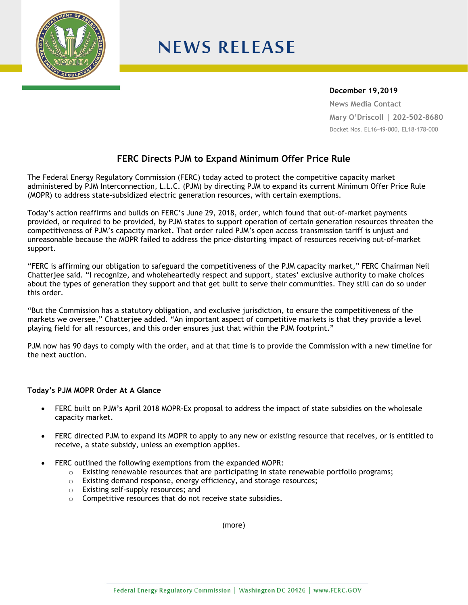

## **NEWS RELEASE**

## **December 19,2019**

**News Media Contact Mary O'Driscoll | 202-502-8680** Docket Nos. EL16-49-000, EL18-178-000

## **FERC Directs PJM to Expand Minimum Offer Price Rule**

The Federal Energy Regulatory Commission (FERC) today acted to protect the competitive capacity market administered by PJM Interconnection, L.L.C. (PJM) by directing PJM to expand its current Minimum Offer Price Rule (MOPR) to address state-subsidized electric generation resources, with certain exemptions.

Today's action reaffirms and builds on FERC's June 29, 2018, order, which found that out-of-market payments provided, or required to be provided, by PJM states to support operation of certain generation resources threaten the competitiveness of PJM's capacity market. That order ruled PJM's open access transmission tariff is unjust and unreasonable because the MOPR failed to address the price-distorting impact of resources receiving out-of-market support.

"FERC is affirming our obligation to safeguard the competitiveness of the PJM capacity market," FERC Chairman Neil Chatterjee said. "I recognize, and wholeheartedly respect and support, states' exclusive authority to make choices about the types of generation they support and that get built to serve their communities. They still can do so under this order.

"But the Commission has a statutory obligation, and exclusive jurisdiction, to ensure the competitiveness of the markets we oversee," Chatterjee added. "An important aspect of competitive markets is that they provide a level playing field for all resources, and this order ensures just that within the PJM footprint."

PJM now has 90 days to comply with the order, and at that time is to provide the Commission with a new timeline for the next auction.

## **Today's PJM MOPR Order At A Glance**

- FERC built on PJM's April 2018 MOPR-Ex proposal to address the impact of state subsidies on the wholesale capacity market.
- FERC directed PJM to expand its MOPR to apply to any new or existing resource that receives, or is entitled to receive, a state subsidy, unless an exemption applies.
- FERC outlined the following exemptions from the expanded MOPR:
	- $\circ$  Existing renewable resources that are participating in state renewable portfolio programs;
	- o Existing demand response, energy efficiency, and storage resources;
	- o Existing self-supply resources; and
	- o Competitive resources that do not receive state subsidies.

(more)